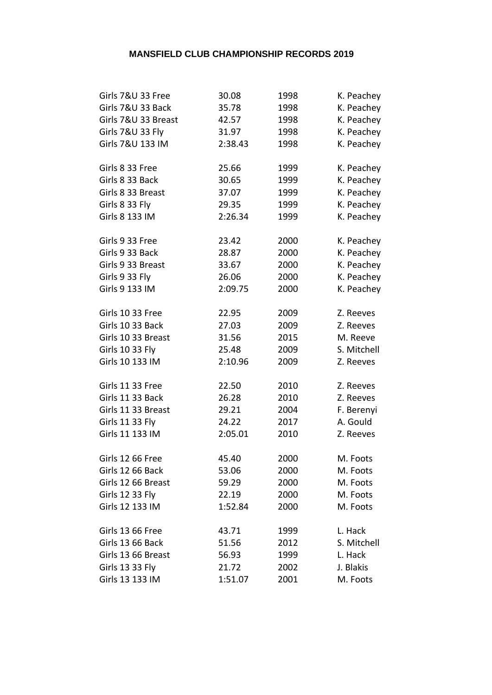| Girls 7&U 33 Free      | 30.08   | 1998 | K. Peachey  |
|------------------------|---------|------|-------------|
| Girls 7&U 33 Back      | 35.78   | 1998 | K. Peachey  |
| Girls 7&U 33 Breast    | 42.57   | 1998 | K. Peachey  |
| Girls 7&U 33 Fly       | 31.97   | 1998 | K. Peachey  |
| Girls 7&U 133 IM       | 2:38.43 | 1998 | K. Peachey  |
|                        |         |      |             |
| Girls 8 33 Free        | 25.66   | 1999 | K. Peachey  |
| Girls 8 33 Back        | 30.65   | 1999 | K. Peachey  |
| Girls 8 33 Breast      | 37.07   | 1999 | K. Peachey  |
| Girls 8 33 Fly         | 29.35   | 1999 | K. Peachey  |
| Girls 8 133 IM         | 2:26.34 | 1999 | K. Peachey  |
|                        |         |      |             |
| Girls 9 33 Free        | 23.42   | 2000 | K. Peachey  |
| Girls 9 33 Back        | 28.87   | 2000 | K. Peachey  |
| Girls 9 33 Breast      | 33.67   | 2000 | K. Peachey  |
| Girls 9 33 Fly         | 26.06   | 2000 | K. Peachey  |
| Girls 9 133 IM         | 2:09.75 | 2000 | K. Peachey  |
| Girls 10 33 Free       | 22.95   | 2009 | Z. Reeves   |
| Girls 10 33 Back       | 27.03   | 2009 | Z. Reeves   |
| Girls 10 33 Breast     | 31.56   | 2015 | M. Reeve    |
| Girls 10 33 Fly        | 25.48   | 2009 | S. Mitchell |
| Girls 10 133 IM        | 2:10.96 | 2009 | Z. Reeves   |
|                        |         |      |             |
| Girls 11 33 Free       | 22.50   | 2010 | Z. Reeves   |
| Girls 11 33 Back       | 26.28   | 2010 | Z. Reeves   |
| Girls 11 33 Breast     | 29.21   | 2004 | F. Berenyi  |
| Girls 11 33 Fly        | 24.22   | 2017 | A. Gould    |
| Girls 11 133 IM        | 2:05.01 | 2010 | Z. Reeves   |
| Girls 12 66 Free       | 45.40   | 2000 | M. Foots    |
| Girls 12 66 Back       | 53.06   | 2000 | M. Foots    |
| Girls 12 66 Breast     | 59.29   | 2000 | M. Foots    |
| <b>Girls 12 33 Fly</b> | 22.19   | 2000 | M. Foots    |
| Girls 12 133 IM        | 1:52.84 | 2000 | M. Foots    |
|                        |         |      |             |
| Girls 13 66 Free       | 43.71   | 1999 | L. Hack     |
| Girls 13 66 Back       | 51.56   | 2012 | S. Mitchell |
| Girls 13 66 Breast     | 56.93   | 1999 | L. Hack     |
| Girls 13 33 Fly        | 21.72   | 2002 | J. Blakis   |
| Girls 13 133 IM        | 1:51.07 | 2001 | M. Foots    |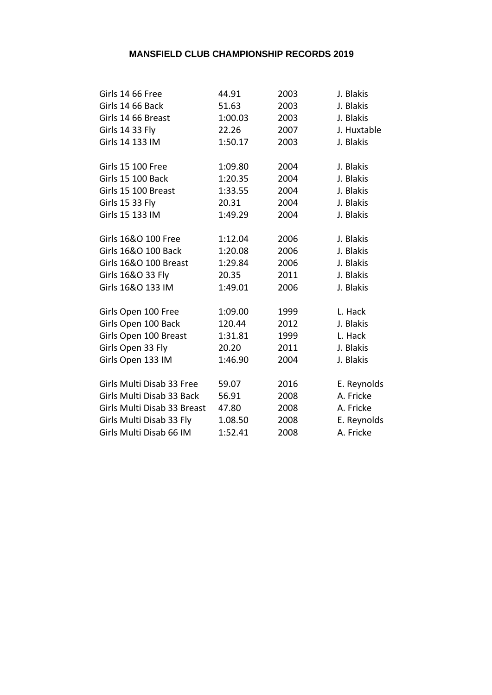| Girls 14 66 Free            | 44.91   | 2003 | J. Blakis   |
|-----------------------------|---------|------|-------------|
| Girls 14 66 Back            | 51.63   | 2003 | J. Blakis   |
| Girls 14 66 Breast          | 1:00.03 | 2003 | J. Blakis   |
| <b>Girls 14 33 Fly</b>      | 22.26   | 2007 | J. Huxtable |
| Girls 14 133 IM             | 1:50.17 | 2003 | J. Blakis   |
|                             |         |      |             |
| <b>Girls 15 100 Free</b>    | 1:09.80 | 2004 | J. Blakis   |
| Girls 15 100 Back           | 1:20.35 | 2004 | J. Blakis   |
| Girls 15 100 Breast         | 1:33.55 | 2004 | J. Blakis   |
| <b>Girls 15 33 Fly</b>      | 20.31   | 2004 | J. Blakis   |
| Girls 15 133 IM             | 1:49.29 | 2004 | J. Blakis   |
|                             |         |      |             |
| Girls 16&O 100 Free         | 1:12.04 | 2006 | J. Blakis   |
| Girls 16&O 100 Back         | 1:20.08 | 2006 | J. Blakis   |
| Girls 16&O 100 Breast       | 1:29.84 | 2006 | J. Blakis   |
| Girls 16&O 33 Fly           | 20.35   | 2011 | J. Blakis   |
| Girls 16&O 133 IM           | 1:49.01 | 2006 | J. Blakis   |
|                             |         |      |             |
| Girls Open 100 Free         | 1:09.00 | 1999 | L. Hack     |
| Girls Open 100 Back         | 120.44  | 2012 | J. Blakis   |
| Girls Open 100 Breast       | 1:31.81 | 1999 | L. Hack     |
| Girls Open 33 Fly           | 20.20   | 2011 | J. Blakis   |
| Girls Open 133 IM           | 1:46.90 | 2004 | J. Blakis   |
|                             |         |      |             |
| Girls Multi Disab 33 Free   | 59.07   | 2016 | E. Reynolds |
| Girls Multi Disab 33 Back   | 56.91   | 2008 | A. Fricke   |
| Girls Multi Disab 33 Breast | 47.80   | 2008 | A. Fricke   |
| Girls Multi Disab 33 Fly    | 1.08.50 | 2008 | E. Reynolds |
| Girls Multi Disab 66 IM     | 1:52.41 | 2008 | A. Fricke   |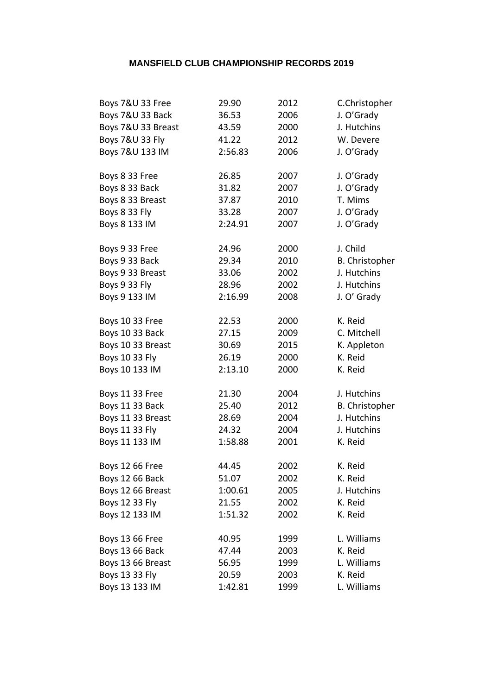| Boys 7&U 33 Free      | 29.90   | 2012 | C.Christopher         |
|-----------------------|---------|------|-----------------------|
| Boys 7&U 33 Back      | 36.53   | 2006 | J. O'Grady            |
| Boys 7&U 33 Breast    | 43.59   | 2000 | J. Hutchins           |
| Boys 7&U 33 Fly       | 41.22   | 2012 | W. Devere             |
| Boys 7&U 133 IM       | 2:56.83 | 2006 | J. O'Grady            |
|                       |         |      |                       |
| Boys 8 33 Free        | 26.85   | 2007 | J. O'Grady            |
| Boys 8 33 Back        | 31.82   | 2007 | J. O'Grady            |
| Boys 8 33 Breast      | 37.87   | 2010 | T. Mims               |
| Boys 8 33 Fly         | 33.28   | 2007 | J. O'Grady            |
| Boys 8 133 IM         | 2:24.91 | 2007 | J. O'Grady            |
| Boys 9 33 Free        | 24.96   | 2000 | J. Child              |
| Boys 9 33 Back        | 29.34   | 2010 | B. Christopher        |
| Boys 9 33 Breast      | 33.06   | 2002 | J. Hutchins           |
| Boys 9 33 Fly         | 28.96   | 2002 | J. Hutchins           |
| Boys 9 133 IM         | 2:16.99 | 2008 | J. O' Grady           |
|                       |         |      |                       |
| Boys 10 33 Free       | 22.53   | 2000 | K. Reid               |
| Boys 10 33 Back       | 27.15   | 2009 | C. Mitchell           |
| Boys 10 33 Breast     | 30.69   | 2015 | K. Appleton           |
| <b>Boys 10 33 Fly</b> | 26.19   | 2000 | K. Reid               |
| Boys 10 133 IM        | 2:13.10 | 2000 | K. Reid               |
|                       |         |      |                       |
| Boys 11 33 Free       | 21.30   | 2004 | J. Hutchins           |
| Boys 11 33 Back       | 25.40   | 2012 | <b>B.</b> Christopher |
| Boys 11 33 Breast     | 28.69   | 2004 | J. Hutchins           |
| <b>Boys 11 33 Fly</b> | 24.32   | 2004 | J. Hutchins           |
| Boys 11 133 IM        | 1:58.88 | 2001 | K. Reid               |
| Boys 12 66 Free       | 44.45   | 2002 | K. Reid               |
| Boys 12 66 Back       | 51.07   | 2002 | K. Reid               |
| Boys 12 66 Breast     | 1:00.61 | 2005 | J. Hutchins           |
| Boys 12 33 Fly        | 21.55   | 2002 | K. Reid               |
| Boys 12 133 IM        | 1:51.32 | 2002 | K. Reid               |
|                       |         |      |                       |
| Boys 13 66 Free       | 40.95   | 1999 | L. Williams           |
| Boys 13 66 Back       | 47.44   | 2003 | K. Reid               |
| Boys 13 66 Breast     | 56.95   | 1999 | L. Williams           |
| Boys 13 33 Fly        | 20.59   | 2003 | K. Reid               |
| Boys 13 133 IM        | 1:42.81 | 1999 | L. Williams           |